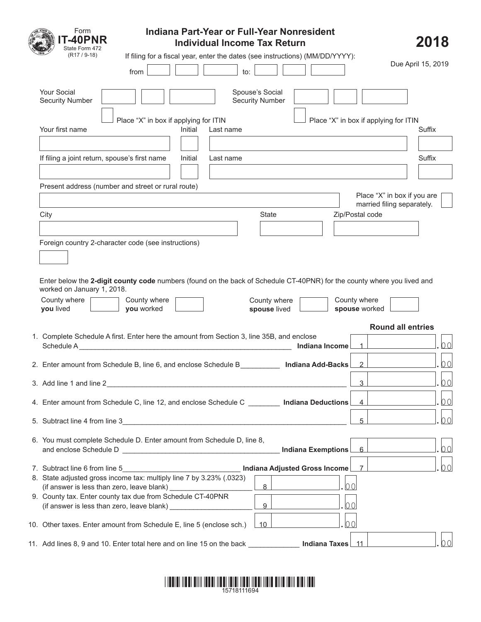| Indiana Part-Year or Full-Year Nonresident<br>Form<br><b>-40PNR</b><br><b>Individual Income Tax Return</b>                                                                     |                                                           | 2018           |
|--------------------------------------------------------------------------------------------------------------------------------------------------------------------------------|-----------------------------------------------------------|----------------|
| State Form 472<br>$(R17 / 9-18)$<br>If filing for a fiscal year, enter the dates (see instructions) (MM/DD/YYYY):                                                              |                                                           |                |
| to:<br>from                                                                                                                                                                    | Due April 15, 2019                                        |                |
| <b>Your Social</b><br>Spouse's Social<br><b>Security Number</b><br><b>Security Number</b>                                                                                      |                                                           |                |
| Place "X" in box if applying for ITIN<br>Your first name<br>Initial<br>Last name                                                                                               | Place "X" in box if applying for ITIN                     | Suffix         |
| If filing a joint return, spouse's first name<br>Initial<br>Last name                                                                                                          |                                                           | Suffix         |
| Present address (number and street or rural route)                                                                                                                             |                                                           |                |
|                                                                                                                                                                                | Place "X" in box if you are<br>married filing separately. |                |
| State<br>City                                                                                                                                                                  | Zip/Postal code                                           |                |
| Foreign country 2-character code (see instructions)<br>Enter below the 2-digit county code numbers (found on the back of Schedule CT-40PNR) for the county where you lived and |                                                           |                |
| worked on January 1, 2018.<br>County where<br>County where<br>County where<br>you lived<br>you worked<br>spouse lived                                                          | County where<br>spouse worked                             |                |
|                                                                                                                                                                                | <b>Round all entries</b>                                  |                |
| 1. Complete Schedule A first. Enter here the amount from Section 3, line 35B, and enclose<br>Indiana Income                                                                    | $\overline{1}$                                            | 00             |
| 2. Enter amount from Schedule B, line 6, and enclose Schedule B <b>Indiana Add-Backs</b>                                                                                       | $\overline{2}$                                            | 0 <sub>0</sub> |
| 3. Add line 1 and line 2<br><u> 1989 - Johann Barbara, marka a shekara tsa 1989 - An tsa 1989 - An tsa 1989 - An tsa 1989 - An tsa 1989 - An</u>                               | 3                                                         | 0 <sup>0</sup> |
| 4. Enter amount from Schedule C, line 12, and enclose Schedule C _________ Indiana Deductions                                                                                  | $\overline{4}$                                            | $\overline{O}$ |
| 5. Subtract line 4 from line 3                                                                                                                                                 | 5                                                         | $\overline{O}$ |
| 6. You must complete Schedule D. Enter amount from Schedule D, line 8,<br>Indiana Exemptions                                                                                   | 6                                                         | 00             |
| Indiana Adjusted Gross Income<br>7. Subtract line 6 from line 5                                                                                                                | $\overline{7}$                                            | 00             |
| 8. State adjusted gross income tax: multiply line 7 by 3.23% (.0323)<br>0 <sup>0</sup><br>8                                                                                    |                                                           |                |
| 9. County tax. Enter county tax due from Schedule CT-40PNR<br>00<br>9<br>(if answer is less than zero, leave blank) _____________                                              |                                                           |                |
| 00<br>10. Other taxes. Enter amount from Schedule E, line 5 (enclose sch.)<br>10                                                                                               |                                                           |                |
| 11. Add lines 8, 9 and 10. Enter total here and on line 15 on the back __________<br>Indiana Taxes 11                                                                          |                                                           | 00             |

## \*15718111694 \*1111 13781 13891 1381 13831 13831 1383 1384 1385 1386 1387